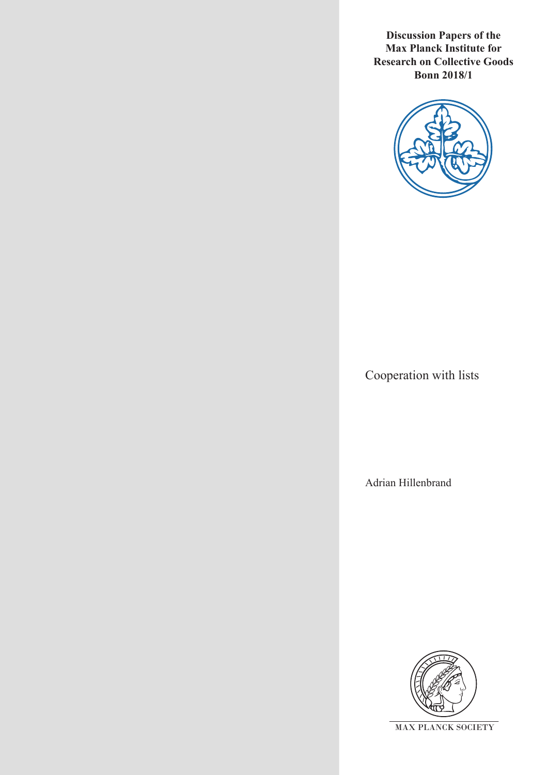**Discussion Papers of the Max Planck Institute for Research on Collective Goods Bonn 2018/1**



Cooperation with lists

Adrian Hillenbrand

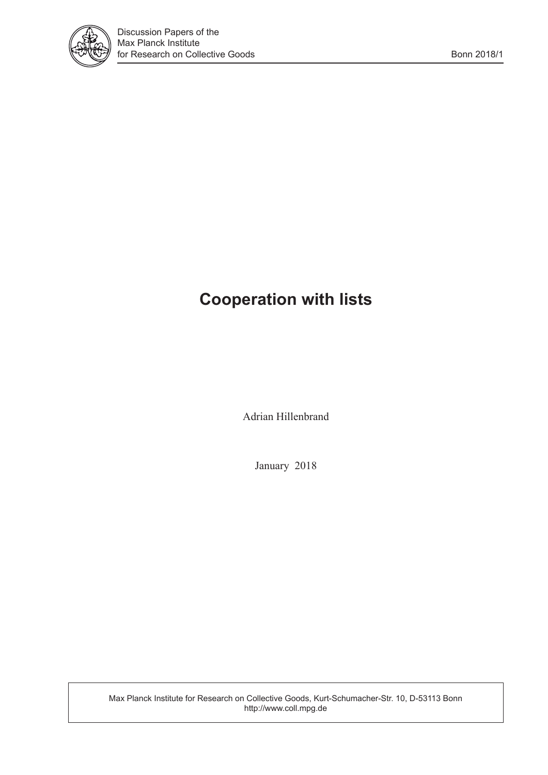

# **Cooperation with lists**

Adrian Hillenbrand

January 2018

Max Planck Institute for Research on Collective Goods, Kurt-Schumacher-Str. 10, D-53113 Bonn http://www.coll.mpg.de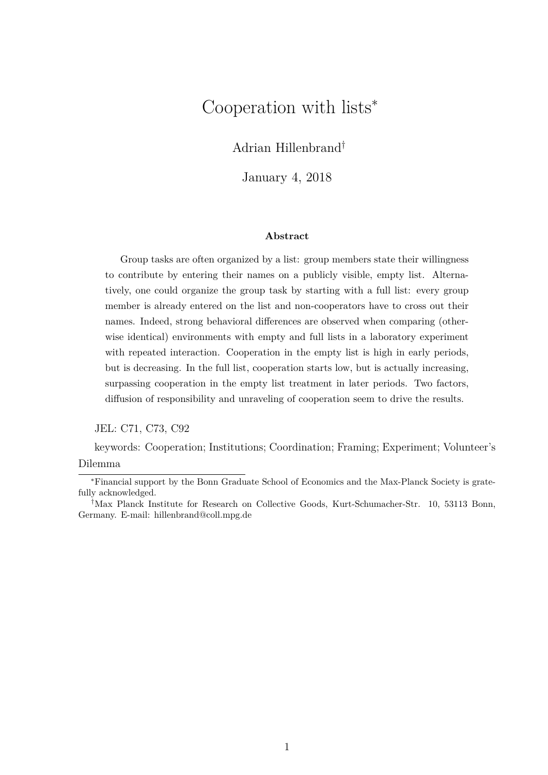## Cooperation with lists<sup>∗</sup>

Adrian Hillenbrand†

January 4, 2018

#### **Abstract**

Group tasks are often organized by a list: group members state their willingness to contribute by entering their names on a publicly visible, empty list. Alternatively, one could organize the group task by starting with a full list: every group member is already entered on the list and non-cooperators have to cross out their names. Indeed, strong behavioral differences are observed when comparing (otherwise identical) environments with empty and full lists in a laboratory experiment with repeated interaction. Cooperation in the empty list is high in early periods, but is decreasing. In the full list, cooperation starts low, but is actually increasing, surpassing cooperation in the empty list treatment in later periods. Two factors, diffusion of responsibility and unraveling of cooperation seem to drive the results.

JEL: C71, C73, C92

keywords: Cooperation; Institutions; Coordination; Framing; Experiment; Volunteer's Dilemma

<sup>∗</sup>Financial support by the Bonn Graduate School of Economics and the Max-Planck Society is gratefully acknowledged.

<sup>†</sup>Max Planck Institute for Research on Collective Goods, Kurt-Schumacher-Str. 10, 53113 Bonn, Germany. E-mail: hillenbrand@coll.mpg.de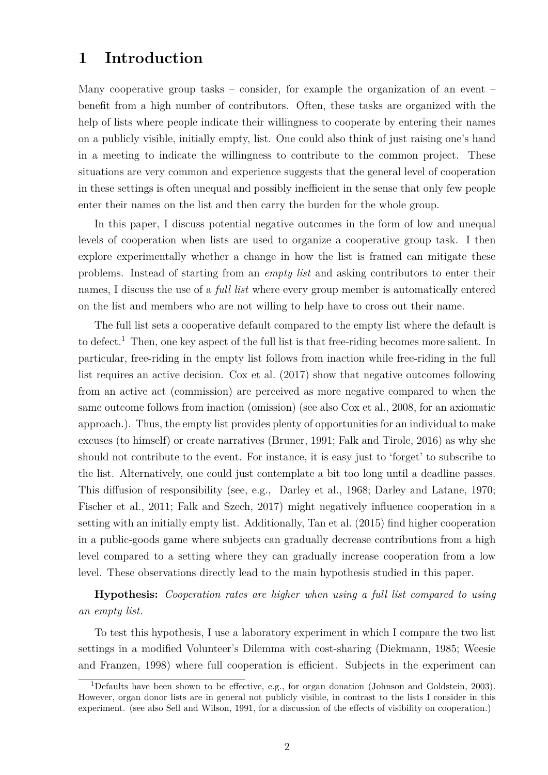#### **1 Introduction**

Many cooperative group tasks – consider, for example the organization of an event – benefit from a high number of contributors. Often, these tasks are organized with the help of lists where people indicate their willingness to cooperate by entering their names on a publicly visible, initially empty, list. One could also think of just raising one's hand in a meeting to indicate the willingness to contribute to the common project. These situations are very common and experience suggests that the general level of cooperation in these settings is often unequal and possibly inefficient in the sense that only few people enter their names on the list and then carry the burden for the whole group.

In this paper, I discuss potential negative outcomes in the form of low and unequal levels of cooperation when lists are used to organize a cooperative group task. I then explore experimentally whether a change in how the list is framed can mitigate these problems. Instead of starting from an *empty list* and asking contributors to enter their names, I discuss the use of a *full list* where every group member is automatically entered on the list and members who are not willing to help have to cross out their name.

The full list sets a cooperative default compared to the empty list where the default is to defect.<sup>[1](#page-3-0)</sup> Then, one key aspect of the full list is that free-riding becomes more salient. In particular, free-riding in the empty list follows from inaction while free-riding in the full list requires an active decision. [Cox et al.](#page-9-0) [\(2017\)](#page-9-0) show that negative outcomes following from an active act (commission) are perceived as more negative compared to when the same outcome follows from inaction (omission) (see also [Cox et al.,](#page-9-1) [2008,](#page-9-1) for an axiomatic approach.). Thus, the empty list provides plenty of opportunities for an individual to make excuses (to himself) or create narratives [\(Bruner,](#page-9-2) [1991;](#page-9-2) [Falk and Tirole,](#page-9-3) [2016\)](#page-9-3) as why she should not contribute to the event. For instance, it is easy just to 'forget' to subscribe to the list. Alternatively, one could just contemplate a bit too long until a deadline passes. This diffusion of responsibility (see, e.g., [Darley et al.,](#page-9-4) [1968;](#page-9-4) [Darley and Latane,](#page-9-5) [1970;](#page-9-5) [Fischer et al.,](#page-9-6) [2011;](#page-9-6) [Falk and Szech,](#page-9-7) [2017\)](#page-9-7) might negatively influence cooperation in a setting with an initially empty list. Additionally, [Tan et al.](#page-9-8) [\(2015\)](#page-9-8) find higher cooperation in a public-goods game where subjects can gradually decrease contributions from a high level compared to a setting where they can gradually increase cooperation from a low level. These observations directly lead to the main hypothesis studied in this paper.

**Hypothesis:** *Cooperation rates are higher when using a full list compared to using an empty list.*

To test this hypothesis, I use a laboratory experiment in which I compare the two list settings in a modified Volunteer's Dilemma with cost-sharing [\(Diekmann,](#page-9-9) [1985;](#page-9-9) [Weesie](#page-9-10) [and Franzen,](#page-9-10) [1998\)](#page-9-10) where full cooperation is efficient. Subjects in the experiment can

<span id="page-3-0"></span><sup>&</sup>lt;sup>1</sup>Defaults have been shown to be effective, e.g., for organ donation [\(Johnson and Goldstein,](#page-9-11) [2003\)](#page-9-11). However, organ donor lists are in general not publicly visible, in contrast to the lists I consider in this experiment. (see also [Sell and Wilson,](#page-9-12) [1991,](#page-9-12) for a discussion of the effects of visibility on cooperation.)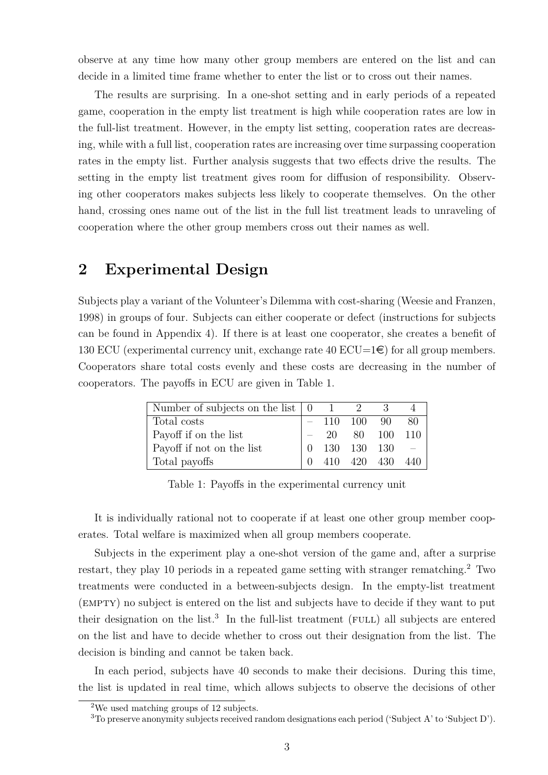observe at any time how many other group members are entered on the list and can decide in a limited time frame whether to enter the list or to cross out their names.

The results are surprising. In a one-shot setting and in early periods of a repeated game, cooperation in the empty list treatment is high while cooperation rates are low in the full-list treatment. However, in the empty list setting, cooperation rates are decreasing, while with a full list, cooperation rates are increasing over time surpassing cooperation rates in the empty list. Further analysis suggests that two effects drive the results. The setting in the empty list treatment gives room for diffusion of responsibility. Observing other cooperators makes subjects less likely to cooperate themselves. On the other hand, crossing ones name out of the list in the full list treatment leads to unraveling of cooperation where the other group members cross out their names as well.

#### **2 Experimental Design**

Subjects play a variant of the Volunteer's Dilemma with cost-sharing [\(Weesie and Franzen,](#page-9-10) [1998\)](#page-9-10) in groups of four. Subjects can either cooperate or defect (instructions for subjects can be found in Appendix [4\)](#page-10-0). If there is at least one cooperator, she creates a benefit of 130 ECU (experimental currency unit, exchange rate 40 ECU=1 $\in$ ) for all group members. Cooperators share total costs evenly and these costs are decreasing in the number of cooperators. The payoffs in ECU are given in Table [1.](#page-4-0)

<span id="page-4-0"></span>

| Number of subjects on the list $\begin{pmatrix} 0 & 1 \end{pmatrix}$ |               |                 |       |
|----------------------------------------------------------------------|---------------|-----------------|-------|
| Total costs                                                          | $-110$ 100 90 |                 | -80   |
| Payoff if on the list                                                | $-20$         | 80 100          | - 110 |
| Payoff if not on the list                                            |               | 0 130 130 130   |       |
| Total payoffs                                                        |               | 410 420 430 440 |       |

Table 1: Payoffs in the experimental currency unit

It is individually rational not to cooperate if at least one other group member cooperates. Total welfare is maximized when all group members cooperate.

Subjects in the experiment play a one-shot version of the game and, after a surprise restart, they play 10 periods in a repeated game setting with stranger rematching.<sup>[2](#page-4-1)</sup> Two treatments were conducted in a between-subjects design. In the empty-list treatment (empty) no subject is entered on the list and subjects have to decide if they want to put their designation on the list.<sup>[3](#page-4-2)</sup> In the full-list treatment (FULL) all subjects are entered on the list and have to decide whether to cross out their designation from the list. The decision is binding and cannot be taken back.

In each period, subjects have 40 seconds to make their decisions. During this time, the list is updated in real time, which allows subjects to observe the decisions of other

<span id="page-4-1"></span><sup>&</sup>lt;sup>2</sup>We used matching groups of 12 subjects.

<span id="page-4-2"></span><sup>3</sup>To preserve anonymity subjects received random designations each period ('Subject A' to 'Subject D').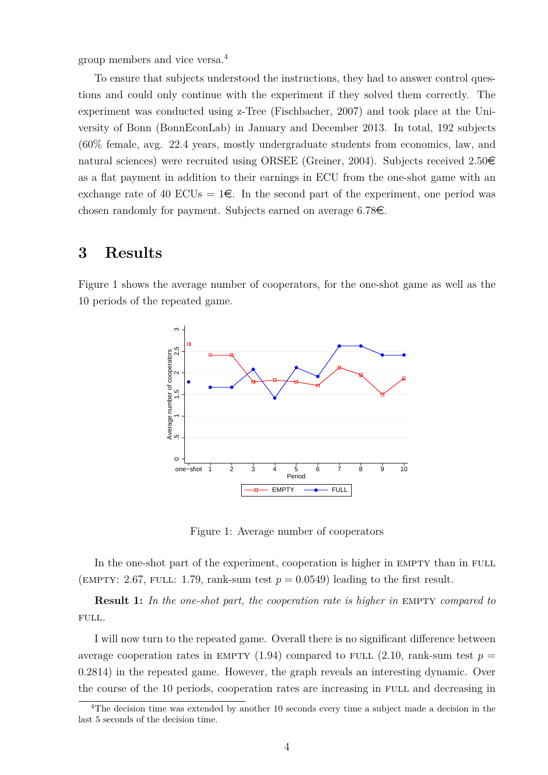group members and vice versa.[4](#page-5-0)

To ensure that subjects understood the instructions, they had to answer control questions and could only continue with the experiment if they solved them correctly. The experiment was conducted using z-Tree [\(Fischbacher,](#page-9-13) [2007\)](#page-9-13) and took place at the University of Bonn (BonnEconLab) in January and December 2013. In total, 192 subjects (60% female, avg. 22.4 years, mostly undergraduate students from economics, law, and natural sciences) were recruited using ORSEE [\(Greiner,](#page-9-14) [2004\)](#page-9-14). Subjects received  $2.50\text{ } \infty$ as a flat payment in addition to their earnings in ECU from the one-shot game with an exchange rate of 40 ECUs =  $1\epsilon$ . In the second part of the experiment, one period was chosen randomly for payment. Subjects earned on average  $6.78\epsilon$ .

#### **3 Results**

<span id="page-5-1"></span>Figure [1](#page-5-1) shows the average number of cooperators, for the one-shot game as well as the 10 periods of the repeated game.



Figure 1: Average number of cooperators

In the one-shot part of the experiment, cooperation is higher in EMPTY than in FULL (EMPTY: 2.67, FULL: 1.79, rank-sum test  $p = 0.0549$ ) leading to the first result.

**Result 1:** In the one-shot part, the cooperation rate is higher in EMPTY compared to full*.*

I will now turn to the repeated game. Overall there is no significant difference between average cooperation rates in EMPTY  $(1.94)$  compared to FULL  $(2.10, \text{rank-sum test } p =$ 0*.*2814) in the repeated game. However, the graph reveals an interesting dynamic. Over the course of the 10 periods, cooperation rates are increasing in full and decreasing in

<span id="page-5-0"></span><sup>&</sup>lt;sup>4</sup>The decision time was extended by another 10 seconds every time a subject made a decision in the last 5 seconds of the decision time.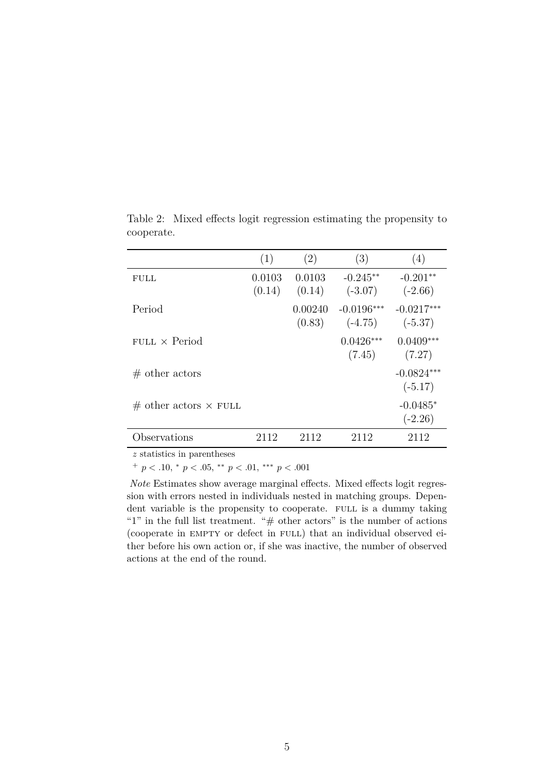|                                 | (1)              | (2)               | (3)                       | (4)                       |
|---------------------------------|------------------|-------------------|---------------------------|---------------------------|
| FULL                            | 0.0103<br>(0.14) | 0.0103<br>(0.14)  | $-0.245**$<br>$(-3.07)$   | $-0.201**$<br>$(-2.66)$   |
| Period                          |                  | 0.00240<br>(0.83) | $-0.0196***$<br>$(-4.75)$ | $-0.0217***$<br>$(-5.37)$ |
| $FULL \times Period$            |                  |                   | $0.0426***$<br>(7.45)     | $0.0409***$<br>(7.27)     |
| $#$ other actors                |                  |                   |                           | $-0.0824***$<br>$(-5.17)$ |
| $\#$ other actors $\times$ FULL |                  |                   |                           | $-0.0485*$<br>$(-2.26)$   |
| Observations                    | 2112             | 2112              | 2112                      | 2112                      |
|                                 |                  |                   |                           |                           |

<span id="page-6-0"></span>Table 2: Mixed effects logit regression estimating the propensity to cooperate.

*z* statistics in parentheses

 $+p < .10, * p < .05, ** p < .01, ** p < .001$ 

*Note* Estimates show average marginal effects. Mixed effects logit regression with errors nested in individuals nested in matching groups. Dependent variable is the propensity to cooperate. FULL is a dummy taking "1" in the full list treatment. " $\#$  other actors" is the number of actions (cooperate in empty or defect in full) that an individual observed either before his own action or, if she was inactive, the number of observed actions at the end of the round.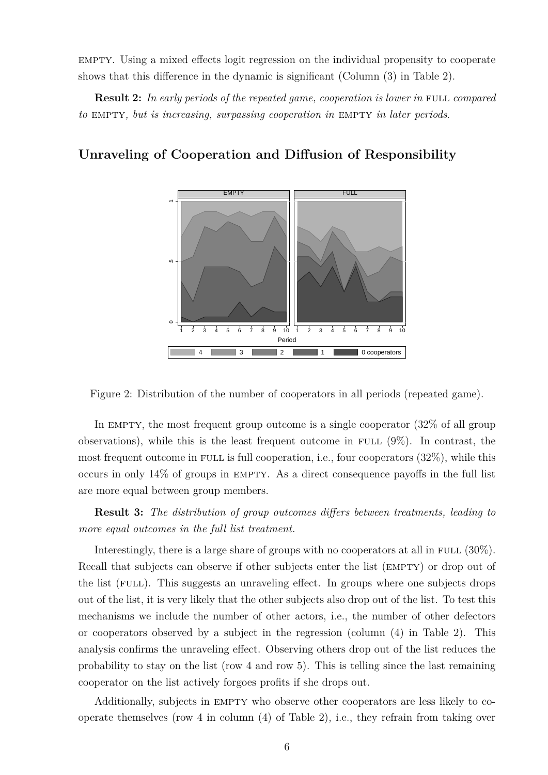empty. Using a mixed effects logit regression on the individual propensity to cooperate shows that this difference in the dynamic is significant (Column (3) in Table [2\)](#page-6-0).

**Result 2:** In early periods of the repeated game, cooperation is lower in FULL compared *to* empty*, but is increasing, surpassing cooperation in* empty *in later periods*.

#### <span id="page-7-0"></span>**Unraveling of Cooperation and Diffusion of Responsibility**



Figure 2: Distribution of the number of cooperators in all periods (repeated game).

In EMPTY, the most frequent group outcome is a single cooperator (32\%) of all group observations), while this is the least frequent outcome in FULL  $(9\%)$ . In contrast, the most frequent outcome in FULL is full cooperation, i.e., four cooperators  $(32\%)$ , while this occurs in only  $14\%$  of groups in EMPTY. As a direct consequence payoffs in the full list are more equal between group members.

**Result 3:** *The distribution of group outcomes differs between treatments, leading to more equal outcomes in the full list treatment.*

Interestingly, there is a large share of groups with no cooperators at all in FULL  $(30\%)$ . Recall that subjects can observe if other subjects enter the list (EMPTY) or drop out of the list (full). This suggests an unraveling effect. In groups where one subjects drops out of the list, it is very likely that the other subjects also drop out of the list. To test this mechanisms we include the number of other actors, i.e., the number of other defectors or cooperators observed by a subject in the regression (column (4) in Table [2\)](#page-6-0). This analysis confirms the unraveling effect. Observing others drop out of the list reduces the probability to stay on the list (row 4 and row 5). This is telling since the last remaining cooperator on the list actively forgoes profits if she drops out.

Additionally, subjects in empty who observe other cooperators are less likely to cooperate themselves (row 4 in column (4) of Table [2\)](#page-6-0), i.e., they refrain from taking over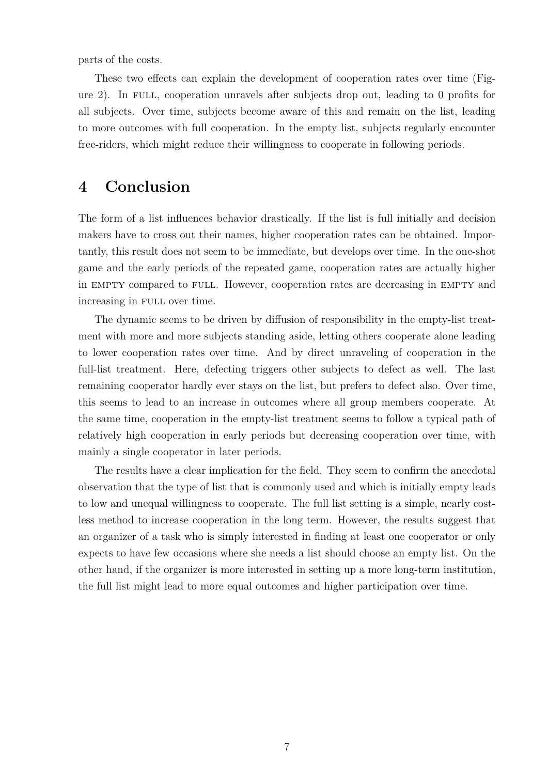parts of the costs.

These two effects can explain the development of cooperation rates over time (Figure [2\)](#page-7-0). In full, cooperation unravels after subjects drop out, leading to 0 profits for all subjects. Over time, subjects become aware of this and remain on the list, leading to more outcomes with full cooperation. In the empty list, subjects regularly encounter free-riders, which might reduce their willingness to cooperate in following periods.

#### **4 Conclusion**

The form of a list influences behavior drastically. If the list is full initially and decision makers have to cross out their names, higher cooperation rates can be obtained. Importantly, this result does not seem to be immediate, but develops over time. In the one-shot game and the early periods of the repeated game, cooperation rates are actually higher in empty compared to full. However, cooperation rates are decreasing in empty and increasing in FULL over time.

The dynamic seems to be driven by diffusion of responsibility in the empty-list treatment with more and more subjects standing aside, letting others cooperate alone leading to lower cooperation rates over time. And by direct unraveling of cooperation in the full-list treatment. Here, defecting triggers other subjects to defect as well. The last remaining cooperator hardly ever stays on the list, but prefers to defect also. Over time, this seems to lead to an increase in outcomes where all group members cooperate. At the same time, cooperation in the empty-list treatment seems to follow a typical path of relatively high cooperation in early periods but decreasing cooperation over time, with mainly a single cooperator in later periods.

The results have a clear implication for the field. They seem to confirm the anecdotal observation that the type of list that is commonly used and which is initially empty leads to low and unequal willingness to cooperate. The full list setting is a simple, nearly costless method to increase cooperation in the long term. However, the results suggest that an organizer of a task who is simply interested in finding at least one cooperator or only expects to have few occasions where she needs a list should choose an empty list. On the other hand, if the organizer is more interested in setting up a more long-term institution, the full list might lead to more equal outcomes and higher participation over time.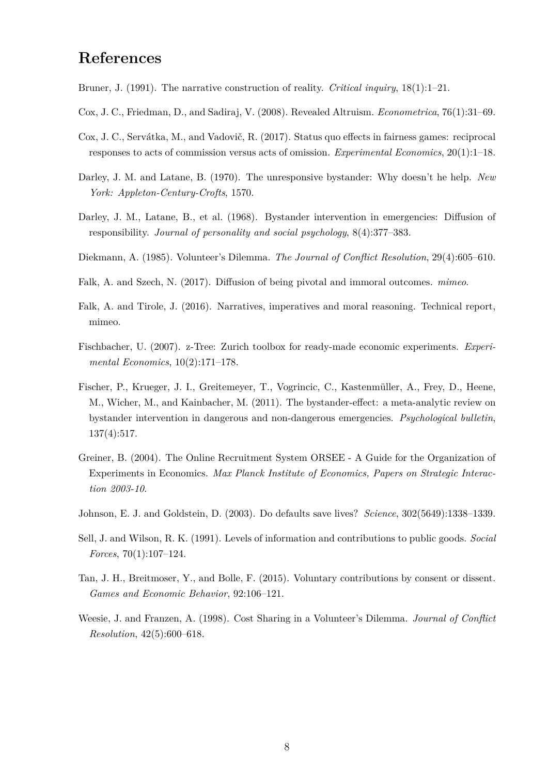### **References**

- <span id="page-9-2"></span>Bruner, J. (1991). The narrative construction of reality. *Critical inquiry*, 18(1):1–21.
- <span id="page-9-1"></span>Cox, J. C., Friedman, D., and Sadiraj, V. (2008). Revealed Altruism. *Econometrica*, 76(1):31–69.
- <span id="page-9-0"></span>Cox, J. C., Servátka, M., and Vadovič, R. (2017). Status quo effects in fairness games: reciprocal responses to acts of commission versus acts of omission. *Experimental Economics*, 20(1):1–18.
- <span id="page-9-5"></span>Darley, J. M. and Latane, B. (1970). The unresponsive bystander: Why doesn't he help. *New York: Appleton-Century-Crofts*, 1570.
- <span id="page-9-4"></span>Darley, J. M., Latane, B., et al. (1968). Bystander intervention in emergencies: Diffusion of responsibility. *Journal of personality and social psychology*, 8(4):377–383.
- <span id="page-9-9"></span>Diekmann, A. (1985). Volunteer's Dilemma. *The Journal of Conflict Resolution*, 29(4):605–610.
- <span id="page-9-7"></span>Falk, A. and Szech, N. (2017). Diffusion of being pivotal and immoral outcomes. *mimeo*.
- <span id="page-9-3"></span>Falk, A. and Tirole, J. (2016). Narratives, imperatives and moral reasoning. Technical report, mimeo.
- <span id="page-9-13"></span>Fischbacher, U. (2007). z-Tree: Zurich toolbox for ready-made economic experiments. *Experimental Economics*, 10(2):171–178.
- <span id="page-9-6"></span>Fischer, P., Krueger, J. I., Greitemeyer, T., Vogrincic, C., Kastenmüller, A., Frey, D., Heene, M., Wicher, M., and Kainbacher, M. (2011). The bystander-effect: a meta-analytic review on bystander intervention in dangerous and non-dangerous emergencies. *Psychological bulletin*, 137(4):517.
- <span id="page-9-14"></span>Greiner, B. (2004). The Online Recruitment System ORSEE - A Guide for the Organization of Experiments in Economics. *Max Planck Institute of Economics, Papers on Strategic Interaction 2003-10*.
- <span id="page-9-11"></span>Johnson, E. J. and Goldstein, D. (2003). Do defaults save lives? *Science*, 302(5649):1338–1339.
- <span id="page-9-12"></span>Sell, J. and Wilson, R. K. (1991). Levels of information and contributions to public goods. *Social Forces*, 70(1):107–124.
- <span id="page-9-8"></span>Tan, J. H., Breitmoser, Y., and Bolle, F. (2015). Voluntary contributions by consent or dissent. *Games and Economic Behavior*, 92:106–121.
- <span id="page-9-10"></span>Weesie, J. and Franzen, A. (1998). Cost Sharing in a Volunteer's Dilemma. *Journal of Conflict Resolution*, 42(5):600–618.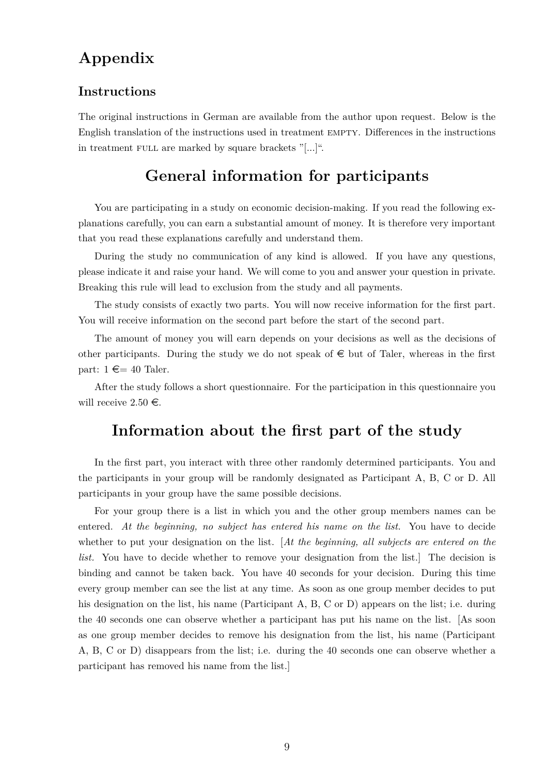### **Appendix**

#### <span id="page-10-0"></span>**Instructions**

The original instructions in German are available from the author upon request. Below is the English translation of the instructions used in treatment empty. Differences in the instructions in treatment FULL are marked by square brackets "[...]".

## **General information for participants**

You are participating in a study on economic decision-making. If you read the following explanations carefully, you can earn a substantial amount of money. It is therefore very important that you read these explanations carefully and understand them.

During the study no communication of any kind is allowed. If you have any questions, please indicate it and raise your hand. We will come to you and answer your question in private. Breaking this rule will lead to exclusion from the study and all payments.

The study consists of exactly two parts. You will now receive information for the first part. You will receive information on the second part before the start of the second part.

The amount of money you will earn depends on your decisions as well as the decisions of other participants. During the study we do not speak of  $\epsilon$  but of Taler, whereas in the first part:  $1 \in \text{= } 40$  Taler.

After the study follows a short questionnaire. For the participation in this questionnaire you will receive  $2.50 \infty$ .

### **Information about the first part of the study**

In the first part, you interact with three other randomly determined participants. You and the participants in your group will be randomly designated as Participant A, B, C or D. All participants in your group have the same possible decisions.

For your group there is a list in which you and the other group members names can be entered. *At the beginning, no subject has entered his name on the list.* You have to decide whether to put your designation on the list. [*At the beginning, all subjects are entered on the list.* You have to decide whether to remove your designation from the list.] The decision is binding and cannot be taken back. You have 40 seconds for your decision. During this time every group member can see the list at any time. As soon as one group member decides to put his designation on the list, his name (Participant A, B, C or D) appears on the list; i.e. during the 40 seconds one can observe whether a participant has put his name on the list. [As soon as one group member decides to remove his designation from the list, his name (Participant A, B, C or D) disappears from the list; i.e. during the 40 seconds one can observe whether a participant has removed his name from the list.]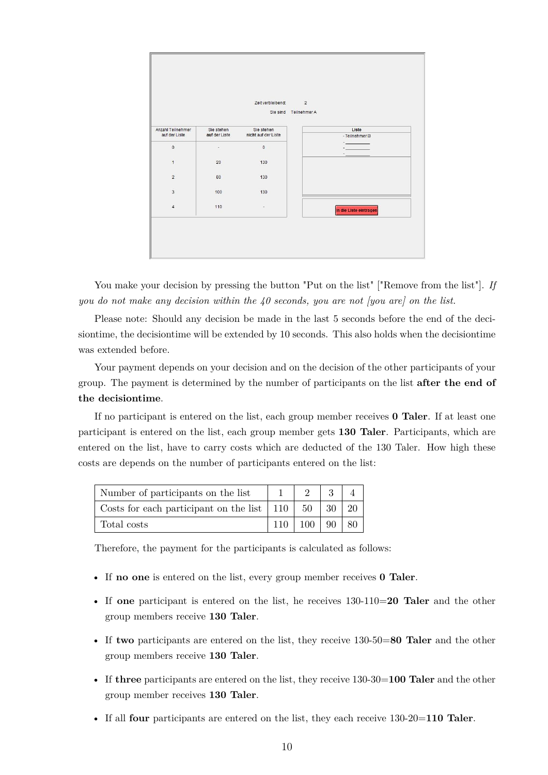|                                    |                             | Zeit verbleibend:                 | $\overline{\phantom{a}}$<br>Sie sind Teilnehmer A |
|------------------------------------|-----------------------------|-----------------------------------|---------------------------------------------------|
| Anzahl Teilnehmer<br>auf der Liste | Sie stehen<br>auf der Liste | Sie stehen<br>nicht auf der Liste | Liste<br>- Teilnehmer B                           |
| $\mathbf 0$                        | ÷                           | $\mathbf 0$                       |                                                   |
| $\mathbf{1}$                       | 20                          | 130                               |                                                   |
| $\overline{c}$                     | 80                          | 130                               |                                                   |
| $\overline{3}$                     | 100                         | 130                               |                                                   |
| $\overline{4}$                     | 110                         | $\overline{a}$                    | In die Liste eintragen                            |

You make your decision by pressing the button "Put on the list" ["Remove from the list"]. If *you do not make any decision within the 40 seconds, you are not [you are] on the list.*

Please note: Should any decision be made in the last 5 seconds before the end of the decisiontime, the decisiontime will be extended by 10 seconds. This also holds when the decisiontime was extended before.

Your payment depends on your decision and on the decision of the other participants of your group. The payment is determined by the number of participants on the list **after the end of the decisiontime**.

If no participant is entered on the list, each group member receives **0 Taler**. If at least one participant is entered on the list, each group member gets **130 Taler**. Participants, which are entered on the list, have to carry costs which are deducted of the 130 Taler. How high these costs are depends on the number of participants entered on the list:

| Number of participants on the list                          |                                |  |
|-------------------------------------------------------------|--------------------------------|--|
| Costs for each participant on the list   110   50   30   20 |                                |  |
| Total costs                                                 | $110 \mid 100 \mid 90 \mid 80$ |  |

Therefore, the payment for the participants is calculated as follows:

- If **no one** is entered on the list, every group member receives **0 Taler**.
- If **one** participant is entered on the list, he receives  $130-110=20$  Taler and the other group members receive **130 Taler**.
- If **two** participants are entered on the list, they receive 130-50=**80 Taler** and the other group members receive **130 Taler**.
- If **three** participants are entered on the list, they receive 130-30=**100 Taler** and the other group member receives **130 Taler**.
- If all **four** participants are entered on the list, they each receive 130-20=**110 Taler**.